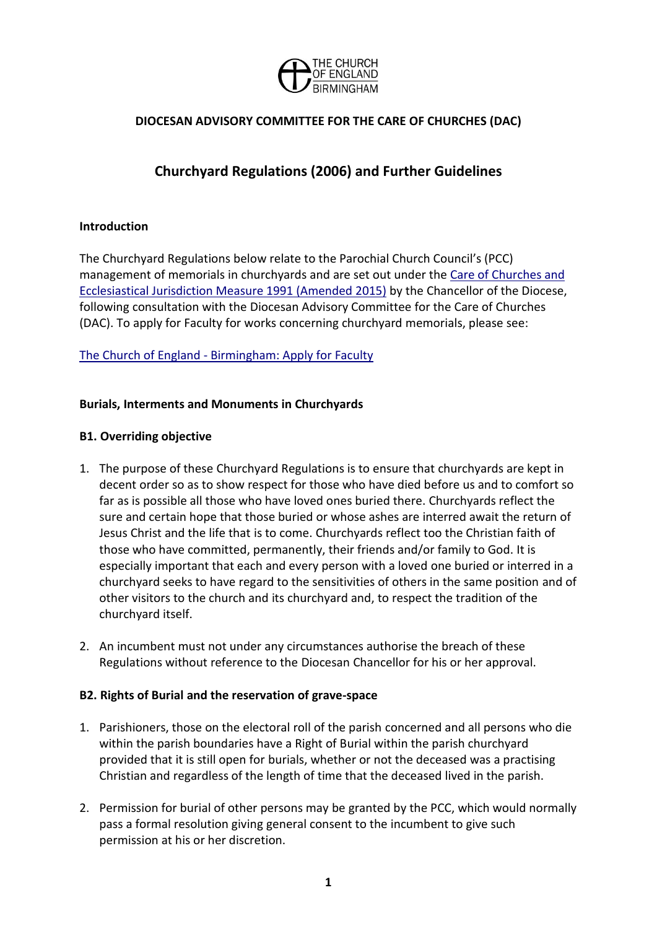

# **DIOCESAN ADVISORY COMMITTEE FOR THE CARE OF CHURCHES (DAC)**

# **Churchyard Regulations (2006) and Further Guidelines**

#### **Introduction**

The Churchyard Regulations below relate to the Parochial Church Council's (PCC) management of memorials in churchyards and are set out under the [Care of Churches and](http://www.legislation.gov.uk/ukcm/1991/1)  [Ecclesiastical Jurisdiction Measure 1991 \(Amended 2015\)](http://www.legislation.gov.uk/ukcm/1991/1) by the Chancellor of the Diocese, following consultation with the Diocesan Advisory Committee for the Care of Churches (DAC). To apply for Faculty for works concerning churchyard memorials, please see:

#### The Church of England - [Birmingham: Apply for Faculty](http://www.cofebirmingham.com/church-life/buildings/care-of-churches/forms/)

#### **Burials, Interments and Monuments in Churchyards**

#### **B1. Overriding objective**

- 1. The purpose of these Churchyard Regulations is to ensure that churchyards are kept in decent order so as to show respect for those who have died before us and to comfort so far as is possible all those who have loved ones buried there. Churchyards reflect the sure and certain hope that those buried or whose ashes are interred await the return of Jesus Christ and the life that is to come. Churchyards reflect too the Christian faith of those who have committed, permanently, their friends and/or family to God. It is especially important that each and every person with a loved one buried or interred in a churchyard seeks to have regard to the sensitivities of others in the same position and of other visitors to the church and its churchyard and, to respect the tradition of the churchyard itself.
- 2. An incumbent must not under any circumstances authorise the breach of these Regulations without reference to the Diocesan Chancellor for his or her approval.

#### **B2. Rights of Burial and the reservation of grave-space**

- 1. Parishioners, those on the electoral roll of the parish concerned and all persons who die within the parish boundaries have a Right of Burial within the parish churchyard provided that it is still open for burials, whether or not the deceased was a practising Christian and regardless of the length of time that the deceased lived in the parish.
- 2. Permission for burial of other persons may be granted by the PCC, which would normally pass a formal resolution giving general consent to the incumbent to give such permission at his or her discretion.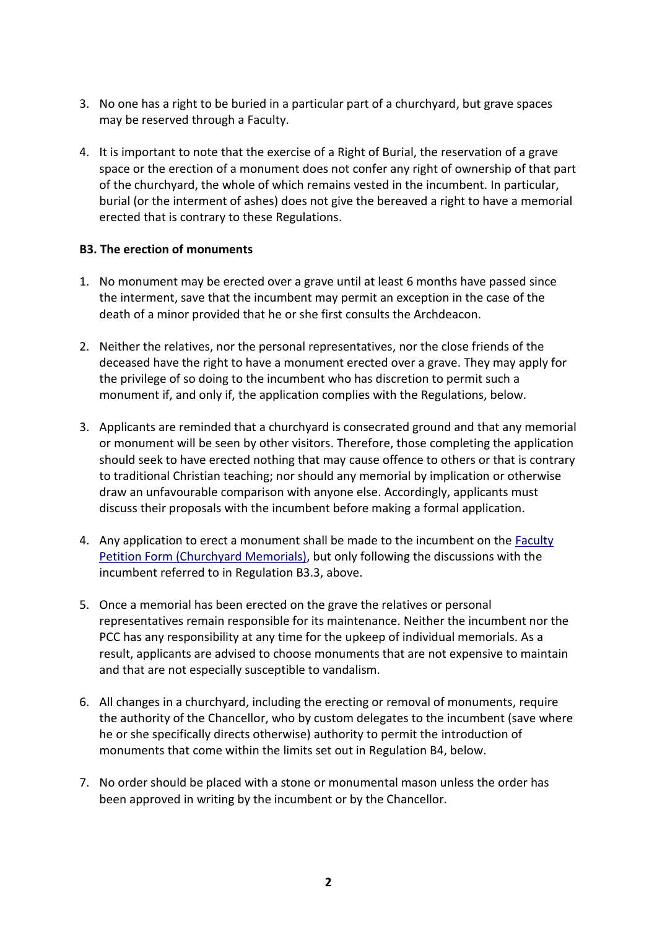- 3. No one has a right to be buried in a particular part of a churchyard, but grave spaces may be reserved through a Faculty.
- 4. It is important to note that the exercise of a Right of Burial, the reservation of a grave space or the erection of a monument does not confer any right of ownership of that part of the churchyard, the whole of which remains vested in the incumbent. In particular, burial (or the interment of ashes) does not give the bereaved a right to have a memorial erected that is contrary to these Regulations.

#### **B3. The erection of monuments**

- 1. No monument may be erected over a grave until at least 6 months have passed since the interment, save that the incumbent may permit an exception in the case of the death of a minor provided that he or she first consults the Archdeacon.
- 2. Neither the relatives, nor the personal representatives, nor the close friends of the deceased have the right to have a monument erected over a grave. They may apply for the privilege of so doing to the incumbent who has discretion to permit such a monument if, and only if, the application complies with the Regulations, below.
- 3. Applicants are reminded that a churchyard is consecrated ground and that any memorial or monument will be seen by other visitors. Therefore, those completing the application should seek to have erected nothing that may cause offence to others or that is contrary to traditional Christian teaching; nor should any memorial by implication or otherwise draw an unfavourable comparison with anyone else. Accordingly, applicants must discuss their proposals with the incumbent before making a formal application.
- 4. Any application to erect a monument shall be made to the incumbent on the [Faculty](http://www.cofebirmingham.com/documents/view/faculty-petition-form-memorials/)  [Petition Form \(Churchyard Memorials\),](http://www.cofebirmingham.com/documents/view/faculty-petition-form-memorials/) but only following the discussions with the incumbent referred to in Regulation B3.3, above.
- 5. Once a memorial has been erected on the grave the relatives or personal representatives remain responsible for its maintenance. Neither the incumbent nor the PCC has any responsibility at any time for the upkeep of individual memorials. As a result, applicants are advised to choose monuments that are not expensive to maintain and that are not especially susceptible to vandalism.
- 6. All changes in a churchyard, including the erecting or removal of monuments, require the authority of the Chancellor, who by custom delegates to the incumbent (save where he or she specifically directs otherwise) authority to permit the introduction of monuments that come within the limits set out in Regulation B4, below.
- 7. No order should be placed with a stone or monumental mason unless the order has been approved in writing by the incumbent or by the Chancellor.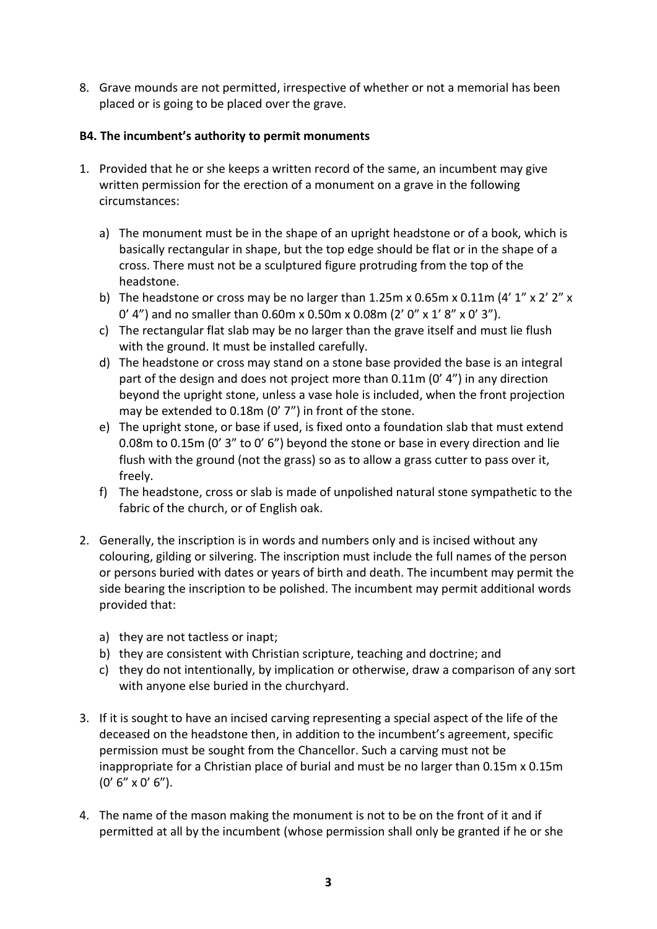8. Grave mounds are not permitted, irrespective of whether or not a memorial has been placed or is going to be placed over the grave.

## **B4. The incumbent's authority to permit monuments**

- 1. Provided that he or she keeps a written record of the same, an incumbent may give written permission for the erection of a monument on a grave in the following circumstances:
	- a) The monument must be in the shape of an upright headstone or of a book, which is basically rectangular in shape, but the top edge should be flat or in the shape of a cross. There must not be a sculptured figure protruding from the top of the headstone.
	- b) The headstone or cross may be no larger than 1.25m x 0.65m x 0.11m (4'  $1''$  x 2'  $2''$  x 0' 4") and no smaller than 0.60m x 0.50m x 0.08m (2' 0" x 1' 8" x 0' 3").
	- c) The rectangular flat slab may be no larger than the grave itself and must lie flush with the ground. It must be installed carefully.
	- d) The headstone or cross may stand on a stone base provided the base is an integral part of the design and does not project more than 0.11m (0' 4") in any direction beyond the upright stone, unless a vase hole is included, when the front projection may be extended to 0.18m (0' 7") in front of the stone.
	- e) The upright stone, or base if used, is fixed onto a foundation slab that must extend 0.08m to 0.15m (0' 3" to 0' 6") beyond the stone or base in every direction and lie flush with the ground (not the grass) so as to allow a grass cutter to pass over it, freely.
	- f) The headstone, cross or slab is made of unpolished natural stone sympathetic to the fabric of the church, or of English oak.
- 2. Generally, the inscription is in words and numbers only and is incised without any colouring, gilding or silvering. The inscription must include the full names of the person or persons buried with dates or years of birth and death. The incumbent may permit the side bearing the inscription to be polished. The incumbent may permit additional words provided that:
	- a) they are not tactless or inapt;
	- b) they are consistent with Christian scripture, teaching and doctrine; and
	- c) they do not intentionally, by implication or otherwise, draw a comparison of any sort with anyone else buried in the churchyard.
- 3. If it is sought to have an incised carving representing a special aspect of the life of the deceased on the headstone then, in addition to the incumbent's agreement, specific permission must be sought from the Chancellor. Such a carving must not be inappropriate for a Christian place of burial and must be no larger than 0.15m x 0.15m (0' 6" x 0' 6").
- 4. The name of the mason making the monument is not to be on the front of it and if permitted at all by the incumbent (whose permission shall only be granted if he or she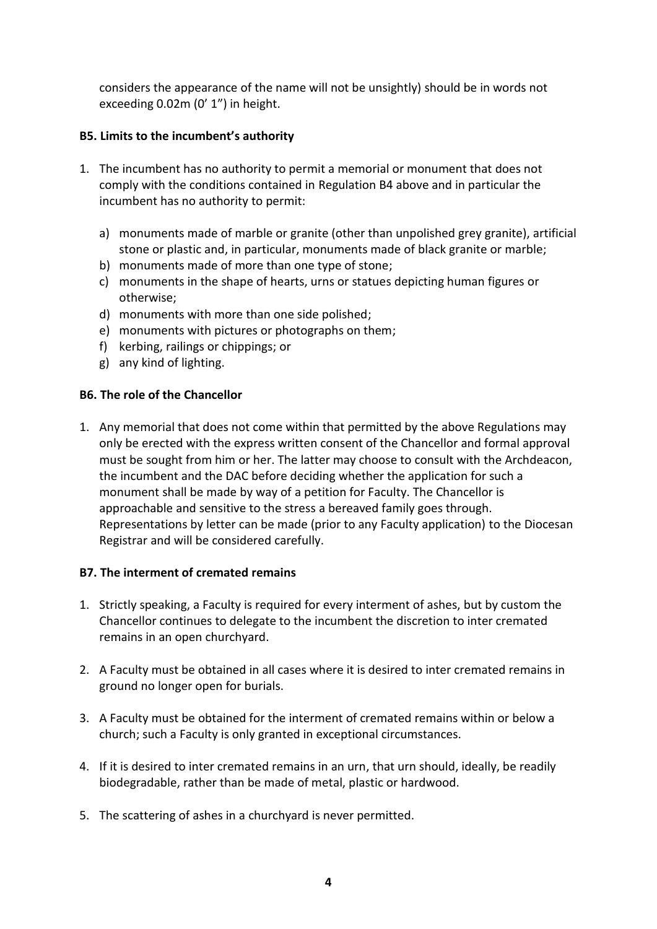considers the appearance of the name will not be unsightly) should be in words not exceeding 0.02m (0' 1") in height.

# **B5. Limits to the incumbent's authority**

- 1. The incumbent has no authority to permit a memorial or monument that does not comply with the conditions contained in Regulation B4 above and in particular the incumbent has no authority to permit:
	- a) monuments made of marble or granite (other than unpolished grey granite), artificial stone or plastic and, in particular, monuments made of black granite or marble;
	- b) monuments made of more than one type of stone;
	- c) monuments in the shape of hearts, urns or statues depicting human figures or otherwise;
	- d) monuments with more than one side polished;
	- e) monuments with pictures or photographs on them;
	- f) kerbing, railings or chippings; or
	- g) any kind of lighting.

## **B6. The role of the Chancellor**

1. Any memorial that does not come within that permitted by the above Regulations may only be erected with the express written consent of the Chancellor and formal approval must be sought from him or her. The latter may choose to consult with the Archdeacon, the incumbent and the DAC before deciding whether the application for such a monument shall be made by way of a petition for Faculty. The Chancellor is approachable and sensitive to the stress a bereaved family goes through. Representations by letter can be made (prior to any Faculty application) to the Diocesan Registrar and will be considered carefully.

## **B7. The interment of cremated remains**

- 1. Strictly speaking, a Faculty is required for every interment of ashes, but by custom the Chancellor continues to delegate to the incumbent the discretion to inter cremated remains in an open churchyard.
- 2. A Faculty must be obtained in all cases where it is desired to inter cremated remains in ground no longer open for burials.
- 3. A Faculty must be obtained for the interment of cremated remains within or below a church; such a Faculty is only granted in exceptional circumstances.
- 4. If it is desired to inter cremated remains in an urn, that urn should, ideally, be readily biodegradable, rather than be made of metal, plastic or hardwood.
- 5. The scattering of ashes in a churchyard is never permitted.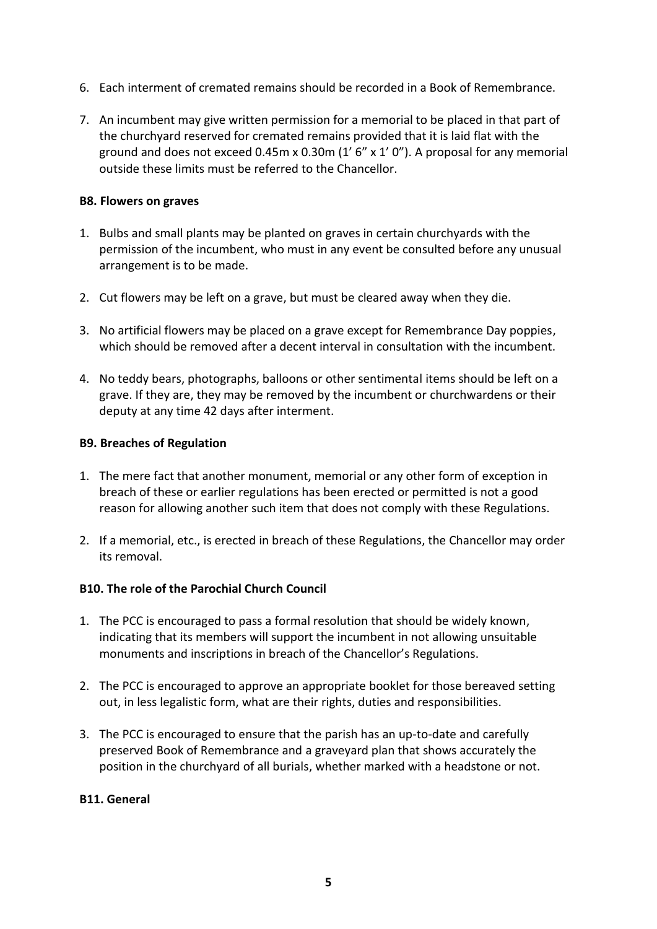- 6. Each interment of cremated remains should be recorded in a Book of Remembrance.
- 7. An incumbent may give written permission for a memorial to be placed in that part of the churchyard reserved for cremated remains provided that it is laid flat with the ground and does not exceed 0.45m x 0.30m (1' 6" x 1' 0"). A proposal for any memorial outside these limits must be referred to the Chancellor.

#### **B8. Flowers on graves**

- 1. Bulbs and small plants may be planted on graves in certain churchyards with the permission of the incumbent, who must in any event be consulted before any unusual arrangement is to be made.
- 2. Cut flowers may be left on a grave, but must be cleared away when they die.
- 3. No artificial flowers may be placed on a grave except for Remembrance Day poppies, which should be removed after a decent interval in consultation with the incumbent.
- 4. No teddy bears, photographs, balloons or other sentimental items should be left on a grave. If they are, they may be removed by the incumbent or churchwardens or their deputy at any time 42 days after interment.

#### **B9. Breaches of Regulation**

- 1. The mere fact that another monument, memorial or any other form of exception in breach of these or earlier regulations has been erected or permitted is not a good reason for allowing another such item that does not comply with these Regulations.
- 2. If a memorial, etc., is erected in breach of these Regulations, the Chancellor may order its removal.

## **B10. The role of the Parochial Church Council**

- 1. The PCC is encouraged to pass a formal resolution that should be widely known, indicating that its members will support the incumbent in not allowing unsuitable monuments and inscriptions in breach of the Chancellor's Regulations.
- 2. The PCC is encouraged to approve an appropriate booklet for those bereaved setting out, in less legalistic form, what are their rights, duties and responsibilities.
- 3. The PCC is encouraged to ensure that the parish has an up-to-date and carefully preserved Book of Remembrance and a graveyard plan that shows accurately the position in the churchyard of all burials, whether marked with a headstone or not.

#### **B11. General**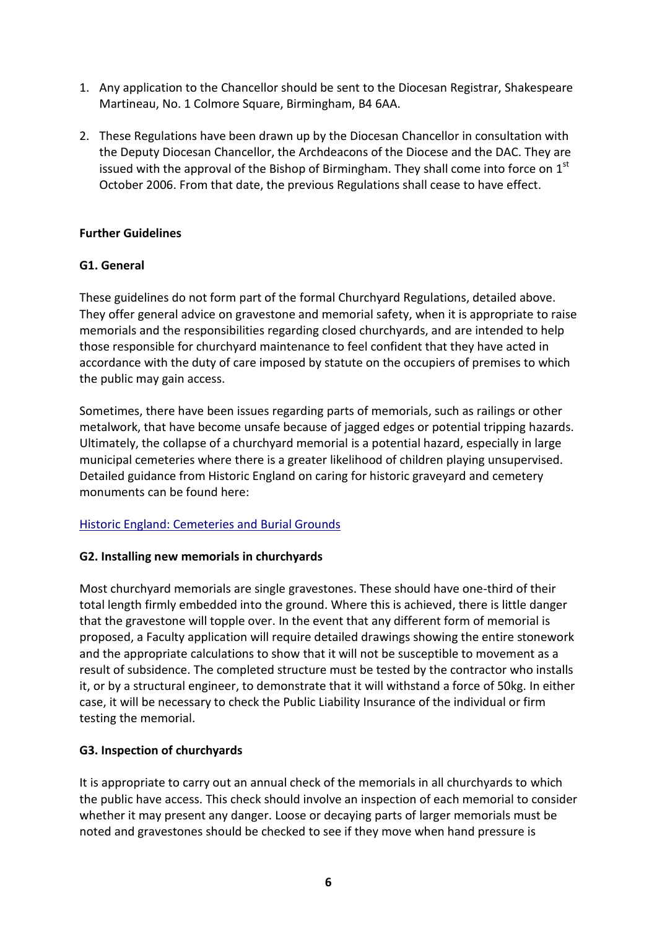- 1. Any application to the Chancellor should be sent to the Diocesan Registrar, Shakespeare Martineau, No. 1 Colmore Square, Birmingham, B4 6AA.
- 2. These Regulations have been drawn up by the Diocesan Chancellor in consultation with the Deputy Diocesan Chancellor, the Archdeacons of the Diocese and the DAC. They are issued with the approval of the Bishop of Birmingham. They shall come into force on  $1<sup>st</sup>$ October 2006. From that date, the previous Regulations shall cease to have effect.

#### **Further Guidelines**

## **G1. General**

These guidelines do not form part of the formal Churchyard Regulations, detailed above. They offer general advice on gravestone and memorial safety, when it is appropriate to raise memorials and the responsibilities regarding closed churchyards, and are intended to help those responsible for churchyard maintenance to feel confident that they have acted in accordance with the duty of care imposed by statute on the occupiers of premises to which the public may gain access.

Sometimes, there have been issues regarding parts of memorials, such as railings or other metalwork, that have become unsafe because of jagged edges or potential tripping hazards. Ultimately, the collapse of a churchyard memorial is a potential hazard, especially in large municipal cemeteries where there is a greater likelihood of children playing unsupervised. Detailed guidance from Historic England on caring for historic graveyard and cemetery monuments can be found here:

## [Historic England: Cemeteries and Burial Grounds](https://www.historicengland.org.uk/advice/caring-for-heritage/cemeteries-and-burial-grounds/)

## **G2. Installing new memorials in churchyards**

Most churchyard memorials are single gravestones. These should have one-third of their total length firmly embedded into the ground. Where this is achieved, there is little danger that the gravestone will topple over. In the event that any different form of memorial is proposed, a Faculty application will require detailed drawings showing the entire stonework and the appropriate calculations to show that it will not be susceptible to movement as a result of subsidence. The completed structure must be tested by the contractor who installs it, or by a structural engineer, to demonstrate that it will withstand a force of 50kg. In either case, it will be necessary to check the Public Liability Insurance of the individual or firm testing the memorial.

## **G3. Inspection of churchyards**

It is appropriate to carry out an annual check of the memorials in all churchyards to which the public have access. This check should involve an inspection of each memorial to consider whether it may present any danger. Loose or decaying parts of larger memorials must be noted and gravestones should be checked to see if they move when hand pressure is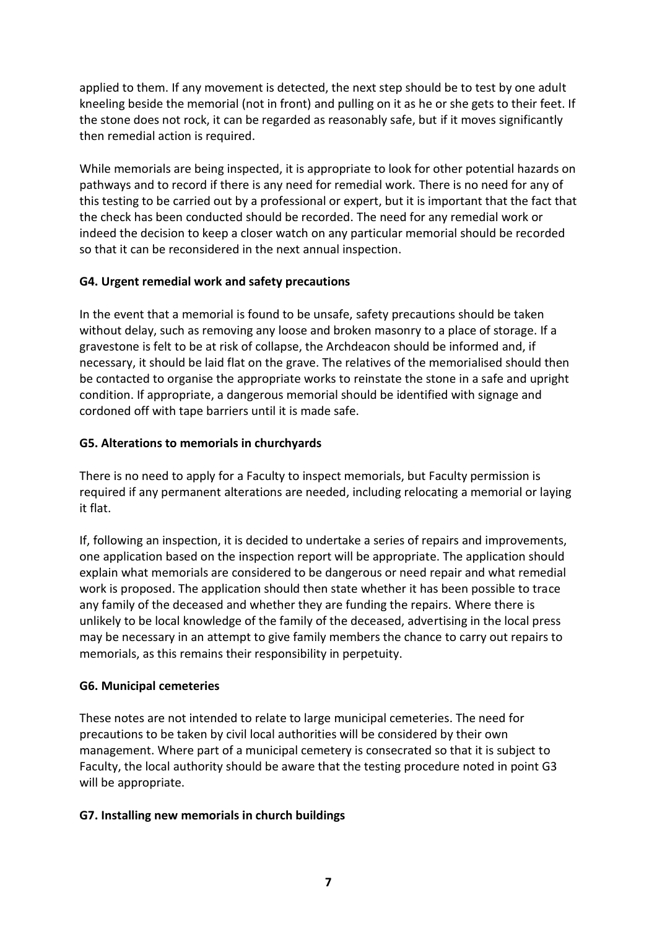applied to them. If any movement is detected, the next step should be to test by one adult kneeling beside the memorial (not in front) and pulling on it as he or she gets to their feet. If the stone does not rock, it can be regarded as reasonably safe, but if it moves significantly then remedial action is required.

While memorials are being inspected, it is appropriate to look for other potential hazards on pathways and to record if there is any need for remedial work. There is no need for any of this testing to be carried out by a professional or expert, but it is important that the fact that the check has been conducted should be recorded. The need for any remedial work or indeed the decision to keep a closer watch on any particular memorial should be recorded so that it can be reconsidered in the next annual inspection.

# **G4. Urgent remedial work and safety precautions**

In the event that a memorial is found to be unsafe, safety precautions should be taken without delay, such as removing any loose and broken masonry to a place of storage. If a gravestone is felt to be at risk of collapse, the Archdeacon should be informed and, if necessary, it should be laid flat on the grave. The relatives of the memorialised should then be contacted to organise the appropriate works to reinstate the stone in a safe and upright condition. If appropriate, a dangerous memorial should be identified with signage and cordoned off with tape barriers until it is made safe.

# **G5. Alterations to memorials in churchyards**

There is no need to apply for a Faculty to inspect memorials, but Faculty permission is required if any permanent alterations are needed, including relocating a memorial or laying it flat.

If, following an inspection, it is decided to undertake a series of repairs and improvements, one application based on the inspection report will be appropriate. The application should explain what memorials are considered to be dangerous or need repair and what remedial work is proposed. The application should then state whether it has been possible to trace any family of the deceased and whether they are funding the repairs. Where there is unlikely to be local knowledge of the family of the deceased, advertising in the local press may be necessary in an attempt to give family members the chance to carry out repairs to memorials, as this remains their responsibility in perpetuity.

# **G6. Municipal cemeteries**

These notes are not intended to relate to large municipal cemeteries. The need for precautions to be taken by civil local authorities will be considered by their own management. Where part of a municipal cemetery is consecrated so that it is subject to Faculty, the local authority should be aware that the testing procedure noted in point G3 will be appropriate.

## **G7. Installing new memorials in church buildings**